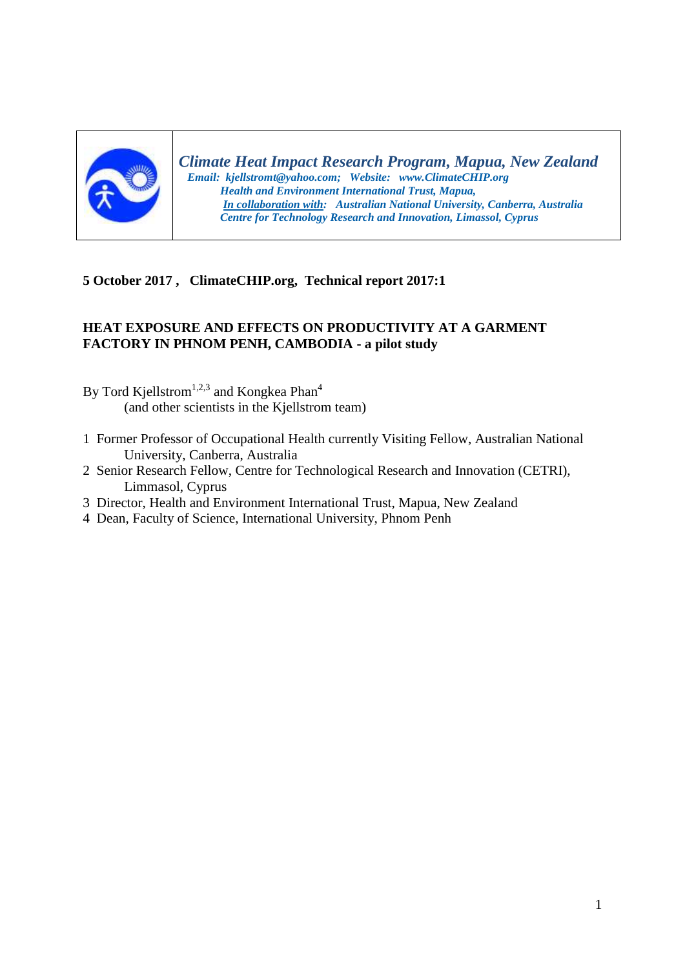

*Climate Heat Impact Research Program, Mapua, New Zealand Email: kjellstromt@yahoo.com; Website: www.ClimateCHIP.org Health and Environment International Trust, Mapua, In collaboration with: Australian National University, Canberra, Australia Centre for Technology Research and Innovation, Limassol, Cyprus*

## **5 October 2017 , ClimateCHIP.org, Technical report 2017:1**

## **HEAT EXPOSURE AND EFFECTS ON PRODUCTIVITY AT A GARMENT FACTORY IN PHNOM PENH, CAMBODIA - a pilot study**

- By Tord Kjellstrom<sup>1,2,3</sup> and Kongkea Phan<sup>4</sup> (and other scientists in the Kjellstrom team)
- 1 Former Professor of Occupational Health currently Visiting Fellow, Australian National University, Canberra, Australia
- 2 Senior Research Fellow, Centre for Technological Research and Innovation (CETRI), Limmasol, Cyprus
- 3 Director, Health and Environment International Trust, Mapua, New Zealand
- 4 Dean, Faculty of Science, International University, Phnom Penh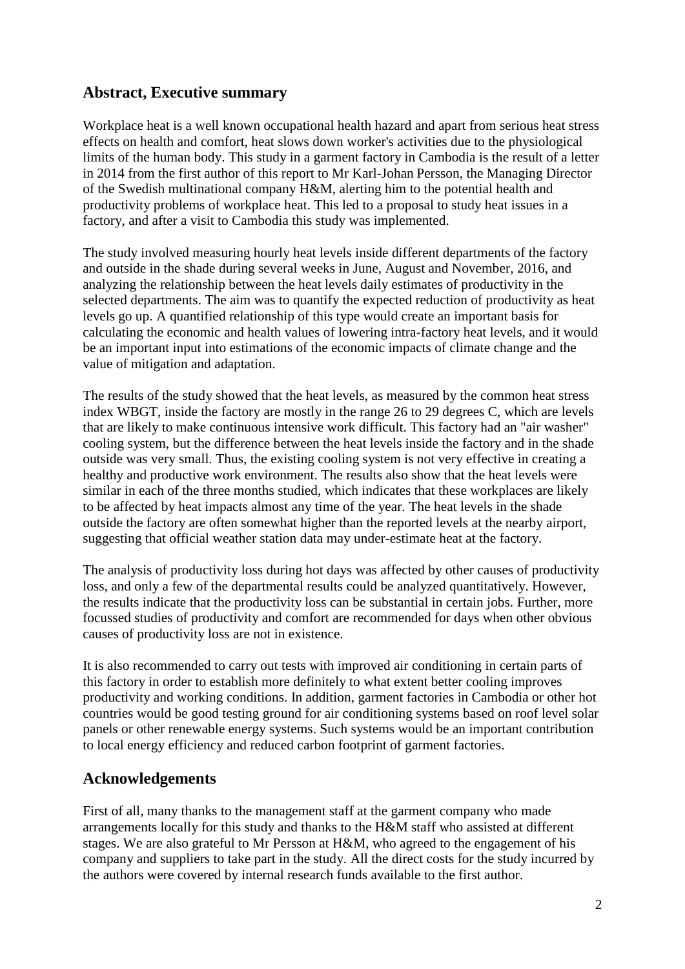# **Abstract, Executive summary**

Workplace heat is a well known occupational health hazard and apart from serious heat stress effects on health and comfort, heat slows down worker's activities due to the physiological limits of the human body. This study in a garment factory in Cambodia is the result of a letter in 2014 from the first author of this report to Mr Karl-Johan Persson, the Managing Director of the Swedish multinational company H&M, alerting him to the potential health and productivity problems of workplace heat. This led to a proposal to study heat issues in a factory, and after a visit to Cambodia this study was implemented.

The study involved measuring hourly heat levels inside different departments of the factory and outside in the shade during several weeks in June, August and November, 2016, and analyzing the relationship between the heat levels daily estimates of productivity in the selected departments. The aim was to quantify the expected reduction of productivity as heat levels go up. A quantified relationship of this type would create an important basis for calculating the economic and health values of lowering intra-factory heat levels, and it would be an important input into estimations of the economic impacts of climate change and the value of mitigation and adaptation.

The results of the study showed that the heat levels, as measured by the common heat stress index WBGT, inside the factory are mostly in the range 26 to 29 degrees C, which are levels that are likely to make continuous intensive work difficult. This factory had an "air washer" cooling system, but the difference between the heat levels inside the factory and in the shade outside was very small. Thus, the existing cooling system is not very effective in creating a healthy and productive work environment. The results also show that the heat levels were similar in each of the three months studied, which indicates that these workplaces are likely to be affected by heat impacts almost any time of the year. The heat levels in the shade outside the factory are often somewhat higher than the reported levels at the nearby airport, suggesting that official weather station data may under-estimate heat at the factory.

The analysis of productivity loss during hot days was affected by other causes of productivity loss, and only a few of the departmental results could be analyzed quantitatively. However, the results indicate that the productivity loss can be substantial in certain jobs. Further, more focussed studies of productivity and comfort are recommended for days when other obvious causes of productivity loss are not in existence.

It is also recommended to carry out tests with improved air conditioning in certain parts of this factory in order to establish more definitely to what extent better cooling improves productivity and working conditions. In addition, garment factories in Cambodia or other hot countries would be good testing ground for air conditioning systems based on roof level solar panels or other renewable energy systems. Such systems would be an important contribution to local energy efficiency and reduced carbon footprint of garment factories.

## **Acknowledgements**

First of all, many thanks to the management staff at the garment company who made arrangements locally for this study and thanks to the H&M staff who assisted at different stages. We are also grateful to Mr Persson at H&M, who agreed to the engagement of his company and suppliers to take part in the study. All the direct costs for the study incurred by the authors were covered by internal research funds available to the first author.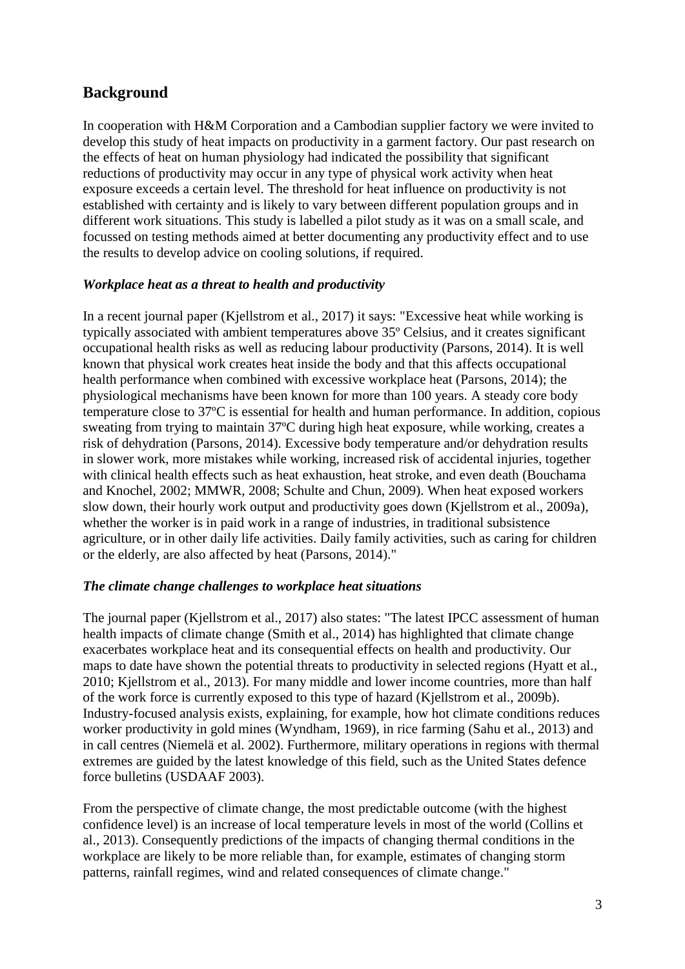# **Background**

In cooperation with H&M Corporation and a Cambodian supplier factory we were invited to develop this study of heat impacts on productivity in a garment factory. Our past research on the effects of heat on human physiology had indicated the possibility that significant reductions of productivity may occur in any type of physical work activity when heat exposure exceeds a certain level. The threshold for heat influence on productivity is not established with certainty and is likely to vary between different population groups and in different work situations. This study is labelled a pilot study as it was on a small scale, and focussed on testing methods aimed at better documenting any productivity effect and to use the results to develop advice on cooling solutions, if required.

## *Workplace heat as a threat to health and productivity*

In a recent journal paper (Kjellstrom et al., 2017) it says: "Excessive heat while working is typically associated with ambient temperatures above 35º Celsius, and it creates significant occupational health risks as well as reducing labour productivity (Parsons, 2014). It is well known that physical work creates heat inside the body and that this affects occupational health performance when combined with excessive workplace heat (Parsons, 2014); the physiological mechanisms have been known for more than 100 years. A steady core body temperature close to 37ºC is essential for health and human performance. In addition, copious sweating from trying to maintain 37ºC during high heat exposure, while working, creates a risk of dehydration (Parsons, 2014). Excessive body temperature and/or dehydration results in slower work, more mistakes while working, increased risk of accidental injuries, together with clinical health effects such as heat exhaustion, heat stroke, and even death (Bouchama and Knochel, 2002; MMWR, 2008; Schulte and Chun, 2009). When heat exposed workers slow down, their hourly work output and productivity goes down (Kjellstrom et al., 2009a), whether the worker is in paid work in a range of industries, in traditional subsistence agriculture, or in other daily life activities. Daily family activities, such as caring for children or the elderly, are also affected by heat (Parsons, 2014)."

#### *The climate change challenges to workplace heat situations*

The journal paper (Kjellstrom et al., 2017) also states: "The latest IPCC assessment of human health impacts of climate change (Smith et al., 2014) has highlighted that climate change exacerbates workplace heat and its consequential effects on health and productivity. Our maps to date have shown the potential threats to productivity in selected regions (Hyatt et al., 2010; Kjellstrom et al., 2013). For many middle and lower income countries, more than half of the work force is currently exposed to this type of hazard (Kjellstrom et al., 2009b). Industry-focused analysis exists, explaining, for example, how hot climate conditions reduces worker productivity in gold mines (Wyndham, 1969), in rice farming (Sahu et al., 2013) and in call centres (Niemelä et al. 2002). Furthermore, military operations in regions with thermal extremes are guided by the latest knowledge of this field, such as the United States defence force bulletins (USDAAF 2003).

From the perspective of climate change, the most predictable outcome (with the highest confidence level) is an increase of local temperature levels in most of the world (Collins et al., 2013). Consequently predictions of the impacts of changing thermal conditions in the workplace are likely to be more reliable than, for example, estimates of changing storm patterns, rainfall regimes, wind and related consequences of climate change."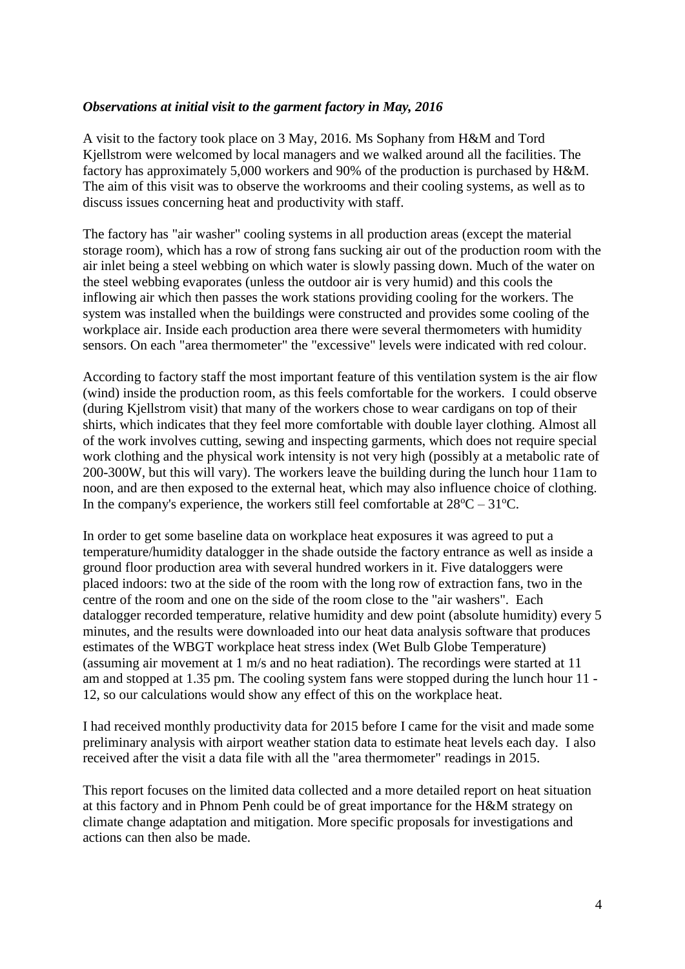#### *Observations at initial visit to the garment factory in May, 2016*

A visit to the factory took place on 3 May, 2016. Ms Sophany from H&M and Tord Kjellstrom were welcomed by local managers and we walked around all the facilities. The factory has approximately 5,000 workers and 90% of the production is purchased by H&M. The aim of this visit was to observe the workrooms and their cooling systems, as well as to discuss issues concerning heat and productivity with staff.

The factory has "air washer" cooling systems in all production areas (except the material storage room), which has a row of strong fans sucking air out of the production room with the air inlet being a steel webbing on which water is slowly passing down. Much of the water on the steel webbing evaporates (unless the outdoor air is very humid) and this cools the inflowing air which then passes the work stations providing cooling for the workers. The system was installed when the buildings were constructed and provides some cooling of the workplace air. Inside each production area there were several thermometers with humidity sensors. On each "area thermometer" the "excessive" levels were indicated with red colour.

According to factory staff the most important feature of this ventilation system is the air flow (wind) inside the production room, as this feels comfortable for the workers. I could observe (during Kjellstrom visit) that many of the workers chose to wear cardigans on top of their shirts, which indicates that they feel more comfortable with double layer clothing. Almost all of the work involves cutting, sewing and inspecting garments, which does not require special work clothing and the physical work intensity is not very high (possibly at a metabolic rate of 200-300W, but this will vary). The workers leave the building during the lunch hour 11am to noon, and are then exposed to the external heat, which may also influence choice of clothing. In the company's experience, the workers still feel comfortable at  $28^{\circ}C - 31^{\circ}C$ .

In order to get some baseline data on workplace heat exposures it was agreed to put a temperature/humidity datalogger in the shade outside the factory entrance as well as inside a ground floor production area with several hundred workers in it. Five dataloggers were placed indoors: two at the side of the room with the long row of extraction fans, two in the centre of the room and one on the side of the room close to the "air washers". Each datalogger recorded temperature, relative humidity and dew point (absolute humidity) every 5 minutes, and the results were downloaded into our heat data analysis software that produces estimates of the WBGT workplace heat stress index (Wet Bulb Globe Temperature) (assuming air movement at 1 m/s and no heat radiation). The recordings were started at 11 am and stopped at 1.35 pm. The cooling system fans were stopped during the lunch hour 11 - 12, so our calculations would show any effect of this on the workplace heat.

I had received monthly productivity data for 2015 before I came for the visit and made some preliminary analysis with airport weather station data to estimate heat levels each day. I also received after the visit a data file with all the "area thermometer" readings in 2015.

This report focuses on the limited data collected and a more detailed report on heat situation at this factory and in Phnom Penh could be of great importance for the H&M strategy on climate change adaptation and mitigation. More specific proposals for investigations and actions can then also be made.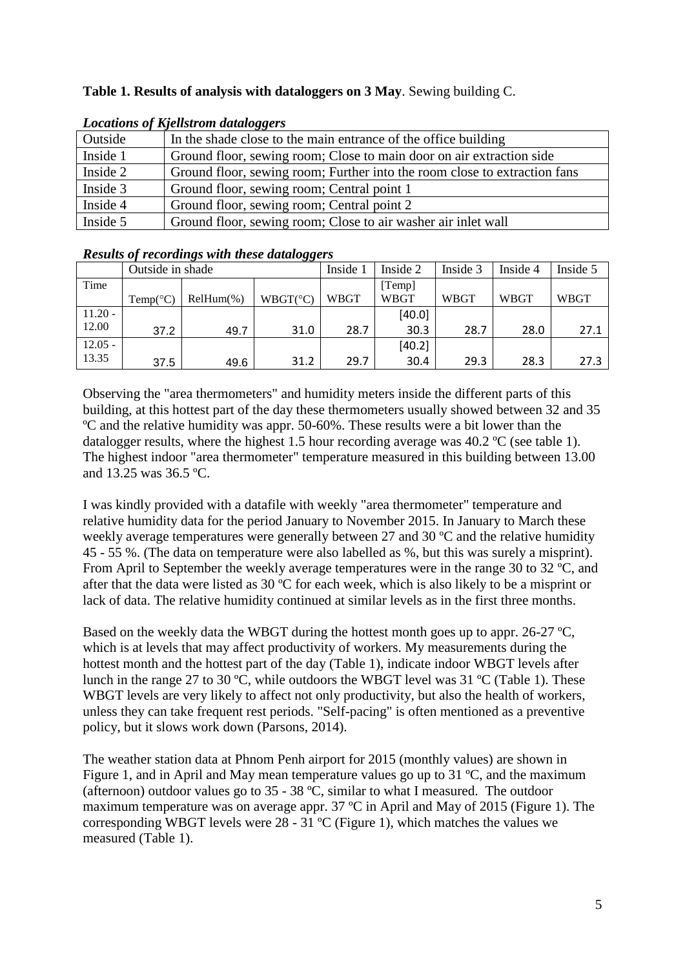## **Table 1. Results of analysis with dataloggers on 3 May**. Sewing building C.

|          | Locultons of Kleustrom additional                                         |
|----------|---------------------------------------------------------------------------|
| Outside  | In the shade close to the main entrance of the office building            |
| Inside 1 | Ground floor, sewing room; Close to main door on air extraction side      |
| Inside 2 | Ground floor, sewing room; Further into the room close to extraction fans |
| Inside 3 | Ground floor, sewing room; Central point 1                                |
| Inside 4 | Ground floor, sewing room; Central point 2                                |
| Inside 5 | Ground floor, sewing room; Close to air washer air inlet wall             |

## *Locations of Kjellstrom dataloggers*

#### *Results of recordings with these dataloggers*

|           | Outside in shade |              |                   | Inside 1    | Inside 2    | Inside 3    | Inside 4    | Inside 5 |
|-----------|------------------|--------------|-------------------|-------------|-------------|-------------|-------------|----------|
| Time      |                  |              |                   |             | [Temp]      |             |             |          |
|           | Temp(°C)         | $RelHum(\%)$ | $WBGT(^{\circ}C)$ | <b>WBGT</b> | <b>WBGT</b> | <b>WBGT</b> | <b>WBGT</b> | WBGT     |
| $11.20 -$ |                  |              |                   |             | [40.0]      |             |             |          |
| 12.00     | 37.2             | 49.7         | 31.0              | 28.7        | 30.3        | 28.7        | 28.0        | 27.1     |
| $12.05 -$ |                  |              |                   |             | [40.2]      |             |             |          |
| 13.35     | 37.5             | 49.6         | 31.2              | 29.7        | 30.4        | 29.3        | 28.3        | 27.3     |

Observing the "area thermometers" and humidity meters inside the different parts of this building, at this hottest part of the day these thermometers usually showed between 32 and 35 ºC and the relative humidity was appr. 50-60%. These results were a bit lower than the datalogger results, where the highest 1.5 hour recording average was 40.2 ºC (see table 1). The highest indoor "area thermometer" temperature measured in this building between 13.00 and 13.25 was 36.5 ºC.

I was kindly provided with a datafile with weekly "area thermometer" temperature and relative humidity data for the period January to November 2015. In January to March these weekly average temperatures were generally between 27 and 30 ºC and the relative humidity 45 - 55 %. (The data on temperature were also labelled as %, but this was surely a misprint). From April to September the weekly average temperatures were in the range 30 to 32 ºC, and after that the data were listed as 30 ºC for each week, which is also likely to be a misprint or lack of data. The relative humidity continued at similar levels as in the first three months.

Based on the weekly data the WBGT during the hottest month goes up to appr. 26-27  $^{\circ}C$ , which is at levels that may affect productivity of workers. My measurements during the hottest month and the hottest part of the day (Table 1), indicate indoor WBGT levels after lunch in the range 27 to 30 ºC, while outdoors the WBGT level was 31 ºC (Table 1). These WBGT levels are very likely to affect not only productivity, but also the health of workers, unless they can take frequent rest periods. "Self-pacing" is often mentioned as a preventive policy, but it slows work down (Parsons, 2014).

The weather station data at Phnom Penh airport for 2015 (monthly values) are shown in Figure 1, and in April and May mean temperature values go up to 31 ºC, and the maximum (afternoon) outdoor values go to  $35 - 38$  °C, similar to what I measured. The outdoor maximum temperature was on average appr. 37 ºC in April and May of 2015 (Figure 1). The corresponding WBGT levels were  $28 - 31$  °C (Figure 1), which matches the values we measured (Table 1).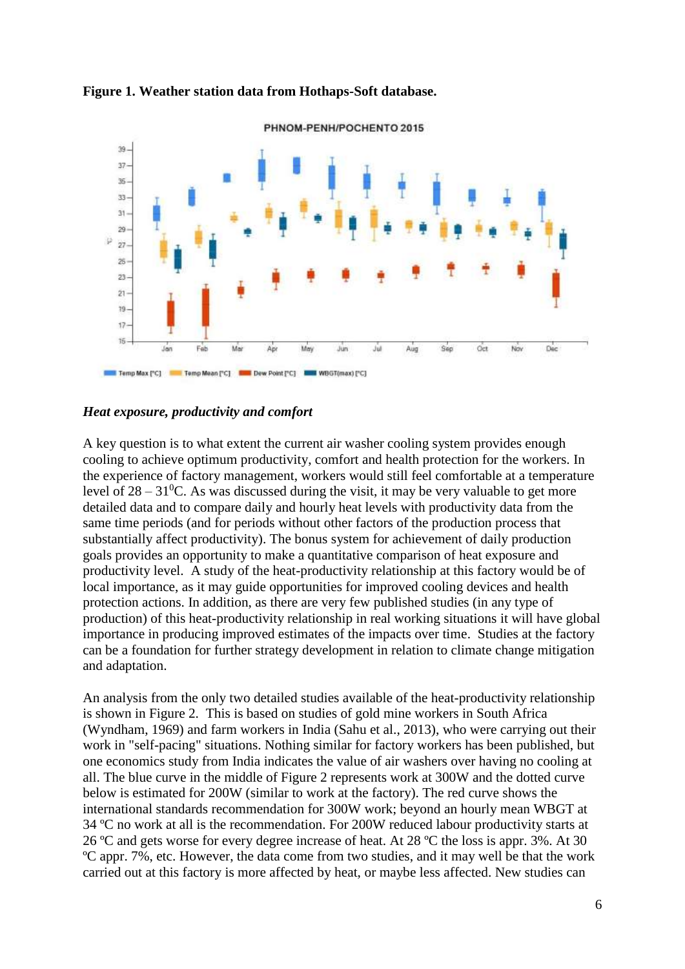



#### *Heat exposure, productivity and comfort*

A key question is to what extent the current air washer cooling system provides enough cooling to achieve optimum productivity, comfort and health protection for the workers. In the experience of factory management, workers would still feel comfortable at a temperature level of  $28 - 31$ <sup>o</sup>C. As was discussed during the visit, it may be very valuable to get more detailed data and to compare daily and hourly heat levels with productivity data from the same time periods (and for periods without other factors of the production process that substantially affect productivity). The bonus system for achievement of daily production goals provides an opportunity to make a quantitative comparison of heat exposure and productivity level. A study of the heat-productivity relationship at this factory would be of local importance, as it may guide opportunities for improved cooling devices and health protection actions. In addition, as there are very few published studies (in any type of production) of this heat-productivity relationship in real working situations it will have global importance in producing improved estimates of the impacts over time. Studies at the factory can be a foundation for further strategy development in relation to climate change mitigation and adaptation.

An analysis from the only two detailed studies available of the heat-productivity relationship is shown in Figure 2. This is based on studies of gold mine workers in South Africa (Wyndham, 1969) and farm workers in India (Sahu et al., 2013), who were carrying out their work in "self-pacing" situations. Nothing similar for factory workers has been published, but one economics study from India indicates the value of air washers over having no cooling at all. The blue curve in the middle of Figure 2 represents work at 300W and the dotted curve below is estimated for 200W (similar to work at the factory). The red curve shows the international standards recommendation for 300W work; beyond an hourly mean WBGT at 34 ºC no work at all is the recommendation. For 200W reduced labour productivity starts at 26 ºC and gets worse for every degree increase of heat. At 28 ºC the loss is appr. 3%. At 30 ºC appr. 7%, etc. However, the data come from two studies, and it may well be that the work carried out at this factory is more affected by heat, or maybe less affected. New studies can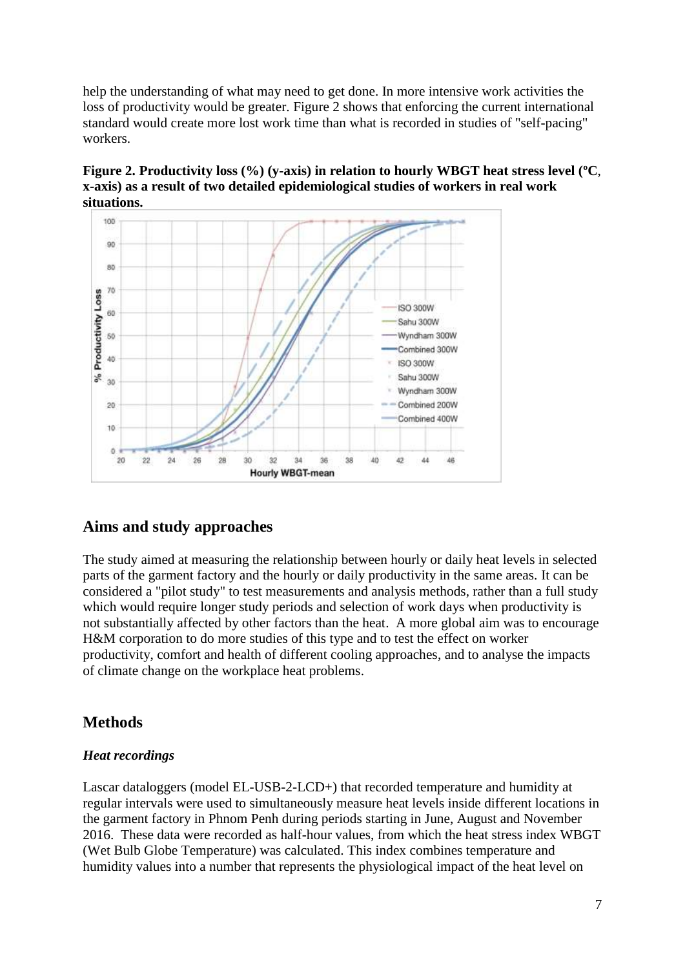help the understanding of what may need to get done. In more intensive work activities the loss of productivity would be greater. Figure 2 shows that enforcing the current international standard would create more lost work time than what is recorded in studies of "self-pacing" workers.

**Figure 2. Productivity loss (%) (y-axis) in relation to hourly WBGT heat stress level (ºC**, **x-axis) as a result of two detailed epidemiological studies of workers in real work situations.**



# **Aims and study approaches**

The study aimed at measuring the relationship between hourly or daily heat levels in selected parts of the garment factory and the hourly or daily productivity in the same areas. It can be considered a "pilot study" to test measurements and analysis methods, rather than a full study which would require longer study periods and selection of work days when productivity is not substantially affected by other factors than the heat. A more global aim was to encourage H&M corporation to do more studies of this type and to test the effect on worker productivity, comfort and health of different cooling approaches, and to analyse the impacts of climate change on the workplace heat problems.

# **Methods**

## *Heat recordings*

Lascar dataloggers (model EL-USB-2-LCD+) that recorded temperature and humidity at regular intervals were used to simultaneously measure heat levels inside different locations in the garment factory in Phnom Penh during periods starting in June, August and November 2016. These data were recorded as half-hour values, from which the heat stress index WBGT (Wet Bulb Globe Temperature) was calculated. This index combines temperature and humidity values into a number that represents the physiological impact of the heat level on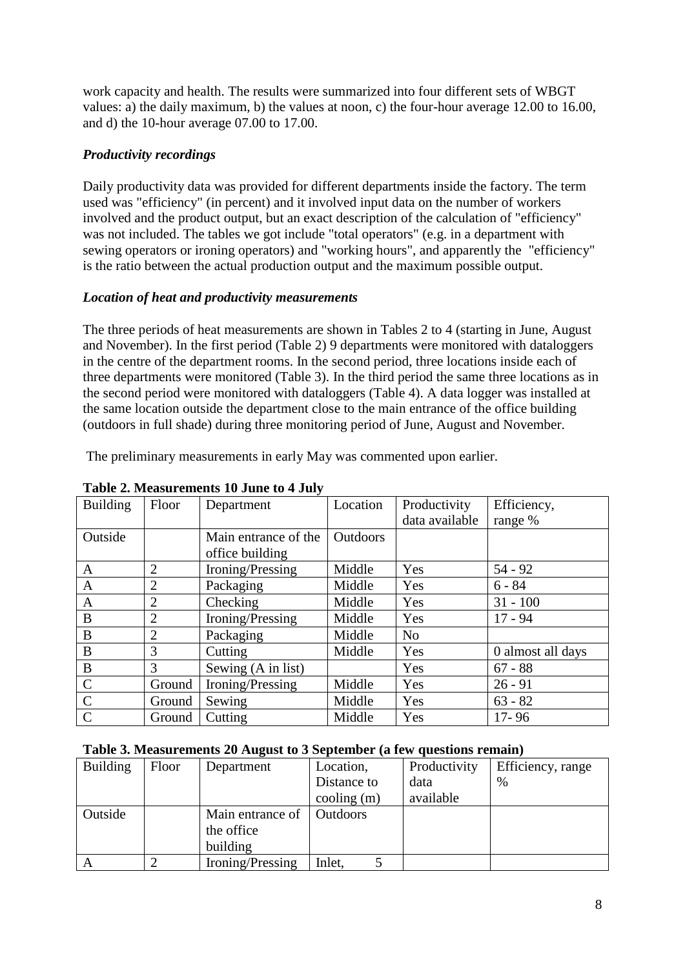work capacity and health. The results were summarized into four different sets of WBGT values: a) the daily maximum, b) the values at noon, c) the four-hour average 12.00 to 16.00, and d) the 10-hour average 07.00 to 17.00.

## *Productivity recordings*

Daily productivity data was provided for different departments inside the factory. The term used was "efficiency" (in percent) and it involved input data on the number of workers involved and the product output, but an exact description of the calculation of "efficiency" was not included. The tables we got include "total operators" (e.g. in a department with sewing operators or ironing operators) and "working hours", and apparently the "efficiency" is the ratio between the actual production output and the maximum possible output.

## *Location of heat and productivity measurements*

The three periods of heat measurements are shown in Tables 2 to 4 (starting in June, August and November). In the first period (Table 2) 9 departments were monitored with dataloggers in the centre of the department rooms. In the second period, three locations inside each of three departments were monitored (Table 3). In the third period the same three locations as in the second period were monitored with dataloggers (Table 4). A data logger was installed at the same location outside the department close to the main entrance of the office building (outdoors in full shade) during three monitoring period of June, August and November.

The preliminary measurements in early May was commented upon earlier.

| <b>Building</b> | Floor          | Department           | Location        | Productivity   | Efficiency,       |
|-----------------|----------------|----------------------|-----------------|----------------|-------------------|
|                 |                |                      |                 | data available | range %           |
| Outside         |                | Main entrance of the | <b>Outdoors</b> |                |                   |
|                 |                | office building      |                 |                |                   |
| A               | $\overline{2}$ | Ironing/Pressing     | Middle          | Yes            | $54 - 92$         |
| A               | 2              | Packaging            | Middle          | Yes            | $6 - 84$          |
| $\mathsf{A}$    | $\overline{2}$ | Checking             | Middle          | Yes            | $31 - 100$        |
| B               | 2              | Ironing/Pressing     | Middle          | Yes            | $17 - 94$         |
| B               | $\overline{2}$ | Packaging            | Middle          | N <sub>o</sub> |                   |
| B               | 3              | Cutting              | Middle          | Yes            | 0 almost all days |
| B               | 3              | Sewing (A in list)   |                 | Yes            | $67 - 88$         |
| $\mathcal{C}$   | Ground         | Ironing/Pressing     | Middle          | Yes            | $26 - 91$         |
| $\mathcal{C}$   | Ground         | Sewing               | Middle          | Yes            | $63 - 82$         |
| $\mathcal{C}$   | Ground         | Cutting              | Middle          | Yes            | $17 - 96$         |

#### **Table 2. Measurements 10 June to 4 July**

#### **Table 3. Measurements 20 August to 3 September (a few questions remain)**

| <b>Building</b> | Floor | Department       | Location,                     | Productivity | Efficiency, range |
|-----------------|-------|------------------|-------------------------------|--------------|-------------------|
|                 |       |                  | Distance to                   | data         | $\%$              |
|                 |       |                  | $\text{cooling}$ $\text{(m)}$ | available    |                   |
| Outside         |       | Main entrance of | <b>Outdoors</b>               |              |                   |
|                 |       | the office       |                               |              |                   |
|                 |       | building         |                               |              |                   |
| A               |       | Ironing/Pressing | Inlet.                        |              |                   |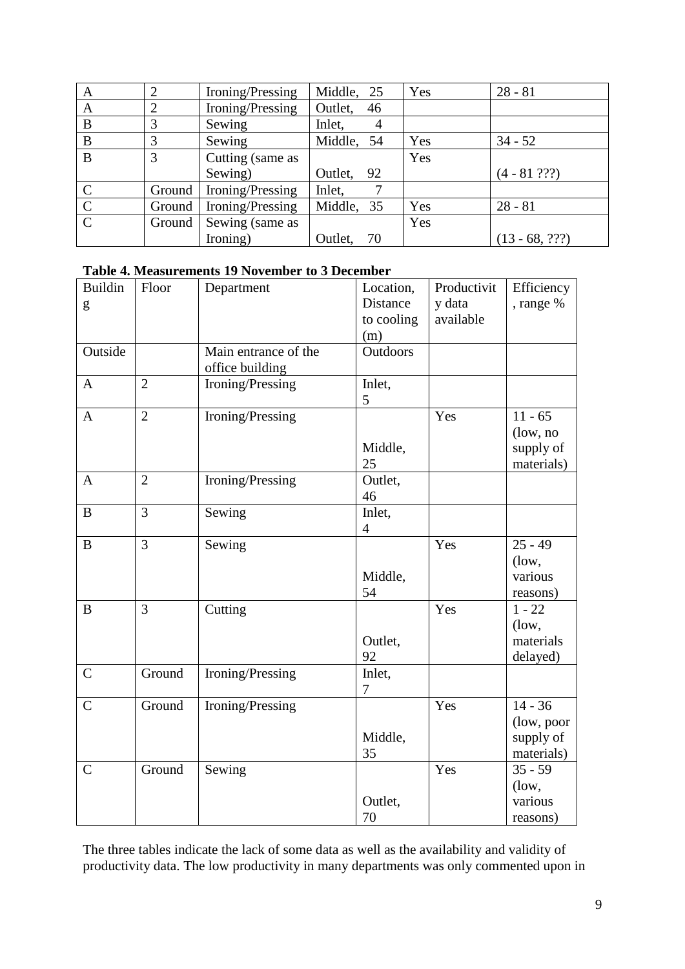| $\mathbf{A}$   | $\mathcal{D}$ | Ironing/Pressing | Middle,<br>25 | Yes | $28 - 81$        |
|----------------|---------------|------------------|---------------|-----|------------------|
| A              | ∍             | Ironing/Pressing | Outlet,<br>46 |     |                  |
| B              | 3             | Sewing           | Inlet,<br>4   |     |                  |
| B              | 3             | Sewing           | Middle, 54    | Yes | $34 - 52$        |
| B              | 3             | Cutting (same as |               | Yes |                  |
|                |               | Sewing)          | Outlet, 92    |     | $(4 - 81 ? ? ?)$ |
| $\mathcal{C}$  | Ground        | Ironing/Pressing | Inlet,        |     |                  |
| $\overline{C}$ | Ground        | Ironing/Pressing | Middle, 35    | Yes | $28 - 81$        |
| $\mathcal{C}$  | Ground        | Sewing (same as  |               | Yes |                  |
|                |               | Ironing)         | Outlet,<br>70 |     | $(13 - 68, ???)$ |

#### **Table 4. Measurements 19 November to 3 December**

| <b>Buildin</b> | Floor          | Department           | Location,       | Productivit | Efficiency |
|----------------|----------------|----------------------|-----------------|-------------|------------|
| g              |                |                      | Distance        | y data      | , range %  |
|                |                |                      | to cooling      | available   |            |
|                |                |                      | (m)             |             |            |
| Outside        |                | Main entrance of the | <b>Outdoors</b> |             |            |
|                |                | office building      |                 |             |            |
| $\mathbf{A}$   | $\overline{2}$ | Ironing/Pressing     | Inlet,          |             |            |
|                |                |                      | 5               |             |            |
| $\mathbf{A}$   | $\overline{2}$ | Ironing/Pressing     |                 | Yes         | $11 - 65$  |
|                |                |                      |                 |             | (low, no   |
|                |                |                      | Middle,         |             | supply of  |
|                |                |                      | 25              |             | materials) |
| $\mathbf{A}$   | $\overline{2}$ | Ironing/Pressing     | Outlet,         |             |            |
|                |                |                      | 46              |             |            |
| B              | 3              | Sewing               | Inlet,          |             |            |
|                |                |                      | $\overline{4}$  |             |            |
| $\, {\bf B}$   | 3              | Sewing               |                 | Yes         | $25 - 49$  |
|                |                |                      |                 |             | $($ low,   |
|                |                |                      | Middle,         |             | various    |
|                |                |                      | 54              |             | reasons)   |
| $\bf{B}$       | 3              | Cutting              |                 | Yes         | $1 - 22$   |
|                |                |                      |                 |             | (low,      |
|                |                |                      | Outlet,         |             | materials  |
|                |                |                      | 92              |             | delayed)   |
| $\mathsf{C}$   | Ground         | Ironing/Pressing     | Inlet,          |             |            |
|                |                |                      | 7               |             |            |
| $\mathsf{C}$   | Ground         | Ironing/Pressing     |                 | Yes         | $14 - 36$  |
|                |                |                      |                 |             | (low, poor |
|                |                |                      | Middle,         |             | supply of  |
|                |                |                      | 35              |             | materials) |
| $\mathcal{C}$  | Ground         | Sewing               |                 | Yes         | $35 - 59$  |
|                |                |                      |                 |             | (low,      |
|                |                |                      | Outlet,         |             | various    |
|                |                |                      | 70              |             | reasons)   |

The three tables indicate the lack of some data as well as the availability and validity of productivity data. The low productivity in many departments was only commented upon in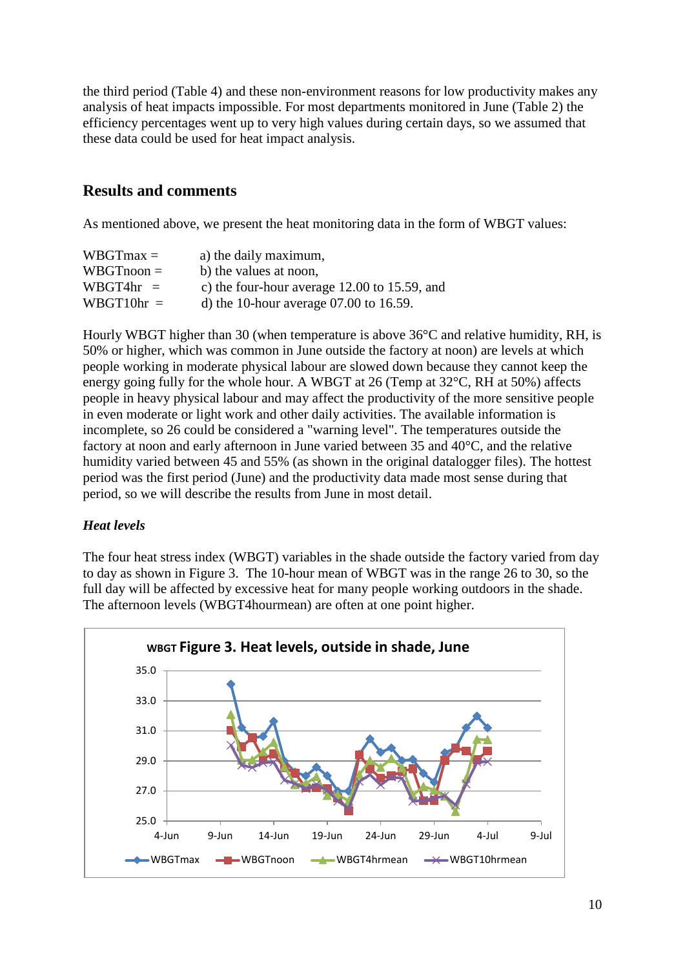the third period (Table 4) and these non-environment reasons for low productivity makes any analysis of heat impacts impossible. For most departments monitored in June (Table 2) the efficiency percentages went up to very high values during certain days, so we assumed that these data could be used for heat impact analysis.

## **Results and comments**

As mentioned above, we present the heat monitoring data in the form of WBGT values:

| $WBGTmax =$  | a) the daily maximum,                             |
|--------------|---------------------------------------------------|
| $WBGTnoon =$ | b) the values at noon,                            |
| $WBGT4hr =$  | c) the four-hour average $12.00$ to $15.59$ , and |
| $WBGT10hr =$ | d) the 10-hour average $07.00$ to 16.59.          |

Hourly WBGT higher than 30 (when temperature is above 36°C and relative humidity, RH, is 50% or higher, which was common in June outside the factory at noon) are levels at which people working in moderate physical labour are slowed down because they cannot keep the energy going fully for the whole hour. A WBGT at 26 (Temp at 32°C, RH at 50%) affects people in heavy physical labour and may affect the productivity of the more sensitive people in even moderate or light work and other daily activities. The available information is incomplete, so 26 could be considered a "warning level". The temperatures outside the factory at noon and early afternoon in June varied between 35 and 40°C, and the relative humidity varied between 45 and 55% (as shown in the original datalogger files). The hottest period was the first period (June) and the productivity data made most sense during that period, so we will describe the results from June in most detail.

## *Heat levels*

The four heat stress index (WBGT) variables in the shade outside the factory varied from day to day as shown in Figure 3. The 10-hour mean of WBGT was in the range 26 to 30, so the full day will be affected by excessive heat for many people working outdoors in the shade. The afternoon levels (WBGT4hourmean) are often at one point higher.

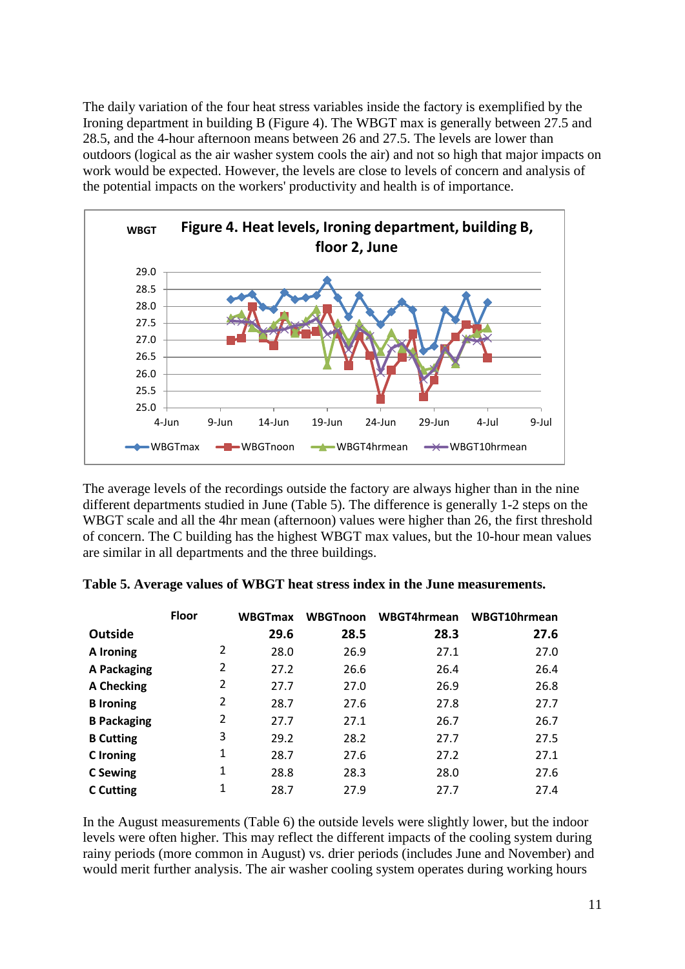The daily variation of the four heat stress variables inside the factory is exemplified by the Ironing department in building B (Figure 4). The WBGT max is generally between 27.5 and 28.5, and the 4-hour afternoon means between 26 and 27.5. The levels are lower than outdoors (logical as the air washer system cools the air) and not so high that major impacts on work would be expected. However, the levels are close to levels of concern and analysis of the potential impacts on the workers' productivity and health is of importance.



The average levels of the recordings outside the factory are always higher than in the nine different departments studied in June (Table 5). The difference is generally 1-2 steps on the WBGT scale and all the 4hr mean (afternoon) values were higher than 26, the first threshold of concern. The C building has the highest WBGT max values, but the 10-hour mean values are similar in all departments and the three buildings.

|                    | <b>Floor</b>   | <b>WBGTmax</b> | <b>WBGTnoon</b> | WBGT4hrmean | WBGT10hrmean |
|--------------------|----------------|----------------|-----------------|-------------|--------------|
| <b>Outside</b>     |                | 29.6           | 28.5            | 28.3        | 27.6         |
| A Ironing          | 2              | 28.0           | 26.9            | 27.1        | 27.0         |
| A Packaging        | 2              | 27.2           | 26.6            | 26.4        | 26.4         |
| <b>A Checking</b>  | $\overline{2}$ | 27.7           | 27.0            | 26.9        | 26.8         |
| <b>B</b> Ironing   | 2              | 28.7           | 27.6            | 27.8        | 27.7         |
| <b>B Packaging</b> | $\overline{2}$ | 27.7           | 27.1            | 26.7        | 26.7         |
| <b>B</b> Cutting   | 3              | 29.2           | 28.2            | 27.7        | 27.5         |
| <b>C</b> Ironing   | 1              | 28.7           | 27.6            | 27.2        | 27.1         |
| C Sewing           | 1              | 28.8           | 28.3            | 28.0        | 27.6         |
| <b>C</b> Cutting   | 1              | 28.7           | 27.9            | 27.7        | 27.4         |

|  |  |  | Table 5. Average values of WBGT heat stress index in the June measurements. |
|--|--|--|-----------------------------------------------------------------------------|
|  |  |  |                                                                             |

In the August measurements (Table 6) the outside levels were slightly lower, but the indoor levels were often higher. This may reflect the different impacts of the cooling system during rainy periods (more common in August) vs. drier periods (includes June and November) and would merit further analysis. The air washer cooling system operates during working hours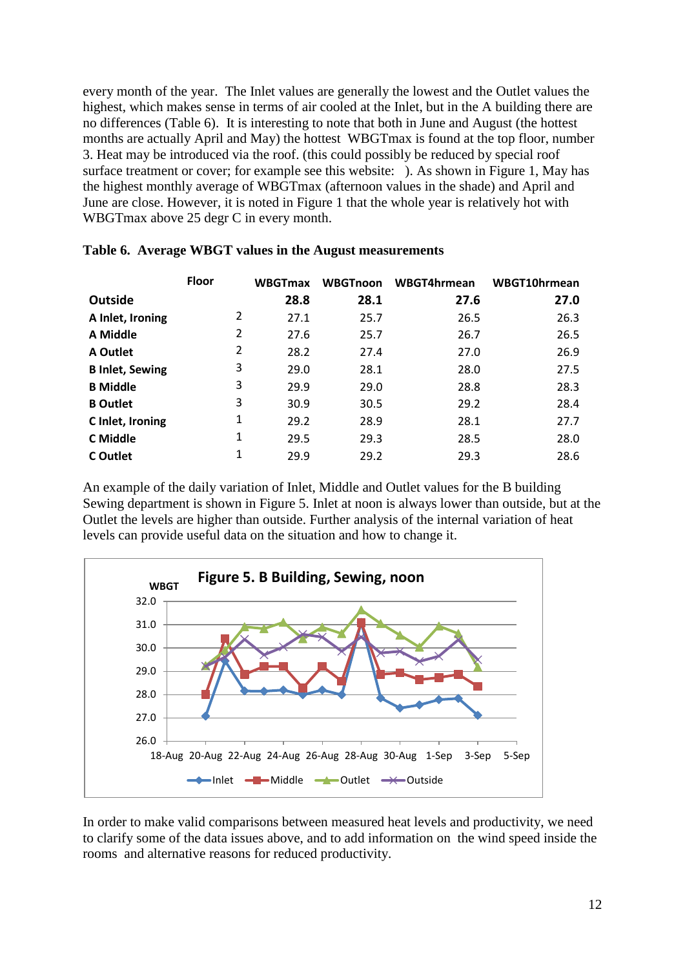every month of the year. The Inlet values are generally the lowest and the Outlet values the highest, which makes sense in terms of air cooled at the Inlet, but in the A building there are no differences (Table 6). It is interesting to note that both in June and August (the hottest months are actually April and May) the hottest WBGTmax is found at the top floor, number 3. Heat may be introduced via the roof. (this could possibly be reduced by special roof surface treatment or cover; for example see this website: ). As shown in Figure 1, May has the highest monthly average of WBGTmax (afternoon values in the shade) and April and June are close. However, it is noted in Figure 1 that the whole year is relatively hot with WBGTmax above 25 degr C in every month.

|                        | <b>Floor</b> | WBGTmax | <b>WBGTnoon</b> | WBGT4hrmean | WBGT10hrmean |
|------------------------|--------------|---------|-----------------|-------------|--------------|
| <b>Outside</b>         |              | 28.8    | 28.1            | 27.6        | 27.0         |
| A Inlet, Ironing       | 2            | 27.1    | 25.7            | 26.5        | 26.3         |
| A Middle               | 2            | 27.6    | 25.7            | 26.7        | 26.5         |
| A Outlet               | 2            | 28.2    | 27.4            | 27.0        | 26.9         |
| <b>B Inlet, Sewing</b> | 3            | 29.0    | 28.1            | 28.0        | 27.5         |
| <b>B</b> Middle        | 3            | 29.9    | 29.0            | 28.8        | 28.3         |
| <b>B</b> Outlet        | 3            | 30.9    | 30.5            | 29.2        | 28.4         |
| C Inlet, Ironing       | 1            | 29.2    | 28.9            | 28.1        | 27.7         |
| C Middle               | 1            | 29.5    | 29.3            | 28.5        | 28.0         |
| C Outlet               | 1            | 29.9    | 29.2            | 29.3        | 28.6         |

|  | Table 6. Average WBGT values in the August measurements |  |  |  |
|--|---------------------------------------------------------|--|--|--|
|--|---------------------------------------------------------|--|--|--|

An example of the daily variation of Inlet, Middle and Outlet values for the B building Sewing department is shown in Figure 5. Inlet at noon is always lower than outside, but at the Outlet the levels are higher than outside. Further analysis of the internal variation of heat levels can provide useful data on the situation and how to change it.



In order to make valid comparisons between measured heat levels and productivity, we need to clarify some of the data issues above, and to add information on the wind speed inside the rooms and alternative reasons for reduced productivity.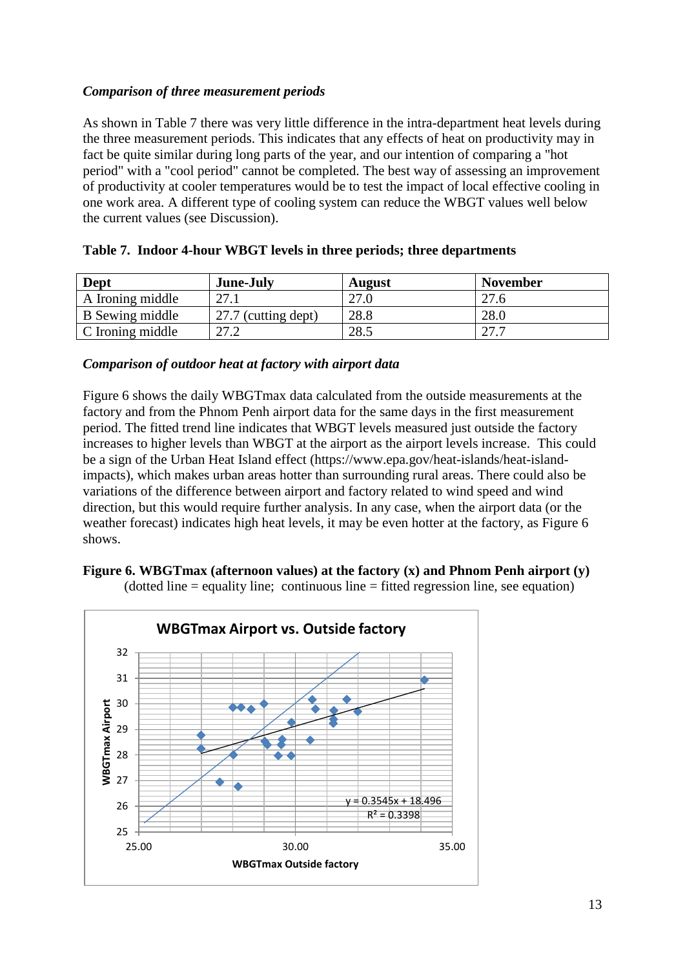## *Comparison of three measurement periods*

As shown in Table 7 there was very little difference in the intra-department heat levels during the three measurement periods. This indicates that any effects of heat on productivity may in fact be quite similar during long parts of the year, and our intention of comparing a "hot period" with a "cool period" cannot be completed. The best way of assessing an improvement of productivity at cooler temperatures would be to test the impact of local effective cooling in one work area. A different type of cooling system can reduce the WBGT values well below the current values (see Discussion).

| Dept             | June-July           | <b>August</b> | <b>November</b> |
|------------------|---------------------|---------------|-----------------|
| A Ironing middle | 27.1                | 27.0          | 27.6            |
| B Sewing middle  | 27.7 (cutting dept) | 28.8          | 28.0            |
| C Ironing middle | 27.2                | 28.5          | 77 7            |

|  |  |  |  |  |  |  |  | Table 7. Indoor 4-hour WBGT levels in three periods; three departments |
|--|--|--|--|--|--|--|--|------------------------------------------------------------------------|
|--|--|--|--|--|--|--|--|------------------------------------------------------------------------|

#### *Comparison of outdoor heat at factory with airport data*

Figure 6 shows the daily WBGTmax data calculated from the outside measurements at the factory and from the Phnom Penh airport data for the same days in the first measurement period. The fitted trend line indicates that WBGT levels measured just outside the factory increases to higher levels than WBGT at the airport as the airport levels increase. This could be a sign of the Urban Heat Island effect (https://www.epa.gov/heat-islands/heat-islandimpacts), which makes urban areas hotter than surrounding rural areas. There could also be variations of the difference between airport and factory related to wind speed and wind direction, but this would require further analysis. In any case, when the airport data (or the weather forecast) indicates high heat levels, it may be even hotter at the factory, as Figure 6 shows.





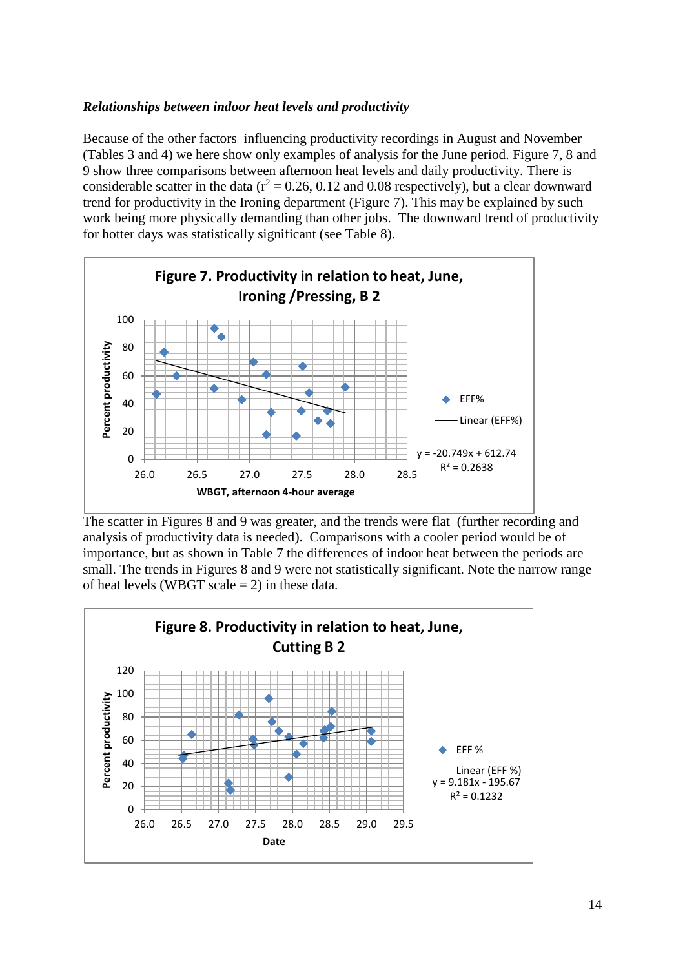### *Relationships between indoor heat levels and productivity*

Because of the other factors influencing productivity recordings in August and November (Tables 3 and 4) we here show only examples of analysis for the June period. Figure 7, 8 and 9 show three comparisons between afternoon heat levels and daily productivity. There is considerable scatter in the data ( $r^2 = 0.26$ , 0.12 and 0.08 respectively), but a clear downward trend for productivity in the Ironing department (Figure 7). This may be explained by such work being more physically demanding than other jobs. The downward trend of productivity for hotter days was statistically significant (see Table 8).



The scatter in Figures 8 and 9 was greater, and the trends were flat (further recording and analysis of productivity data is needed). Comparisons with a cooler period would be of importance, but as shown in Table 7 the differences of indoor heat between the periods are small. The trends in Figures 8 and 9 were not statistically significant. Note the narrow range of heat levels (WBGT scale  $= 2$ ) in these data.

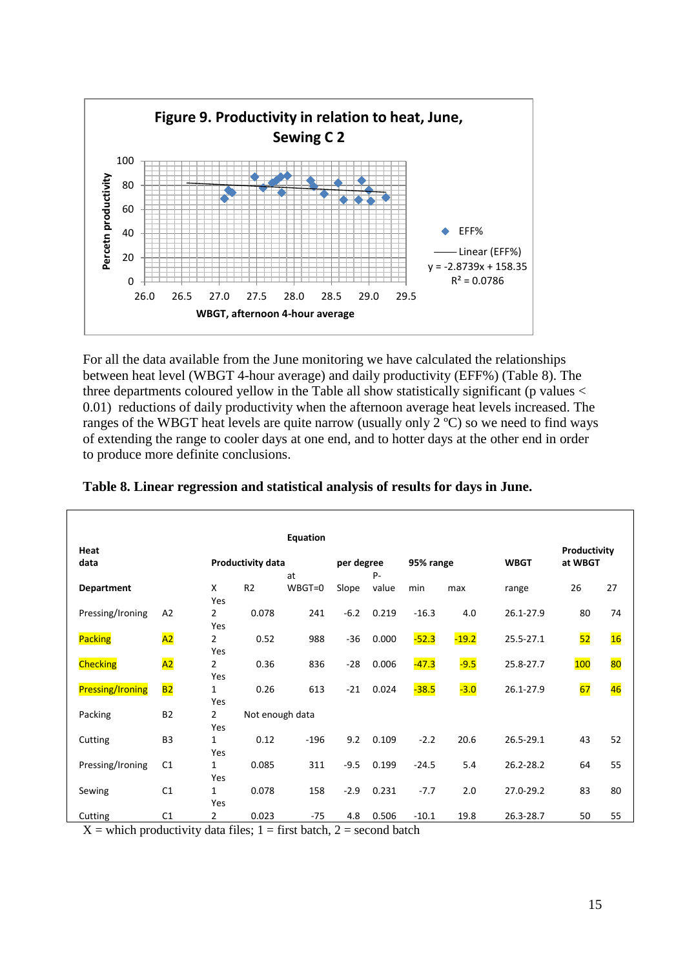

For all the data available from the June monitoring we have calculated the relationships between heat level (WBGT 4-hour average) and daily productivity (EFF%) (Table 8). The three departments coloured yellow in the Table all show statistically significant (p values < 0.01) reductions of daily productivity when the afternoon average heat levels increased. The ranges of the WBGT heat levels are quite narrow (usually only 2 ºC) so we need to find ways of extending the range to cooler days at one end, and to hotter days at the other end in order to produce more definite conclusions.

|                         |                 |                          |                 | Equation |            |       |           |         |             |              |    |
|-------------------------|-----------------|--------------------------|-----------------|----------|------------|-------|-----------|---------|-------------|--------------|----|
| Heat                    |                 |                          |                 |          |            |       |           |         |             | Productivity |    |
| data                    |                 | <b>Productivity data</b> |                 |          | per degree |       | 95% range |         | <b>WBGT</b> | at WBGT      |    |
|                         |                 |                          |                 | at       |            | P-    |           |         |             |              |    |
| <b>Department</b>       |                 | X                        | R <sub>2</sub>  | WBGT=0   | Slope      | value | min       | max     | range       | 26           | 27 |
|                         |                 | Yes                      |                 |          |            |       |           |         |             |              |    |
| Pressing/Ironing        | A2              | $\overline{2}$           | 0.078           | 241      | $-6.2$     | 0.219 | $-16.3$   | 4.0     | 26.1-27.9   | 80           | 74 |
|                         |                 | Yes                      |                 |          |            |       |           |         |             |              |    |
| <b>Packing</b>          | $\overline{A2}$ | $\overline{2}$           | 0.52            | 988      | $-36$      | 0.000 | $-52.3$   | $-19.2$ | 25.5-27.1   | 52           | 16 |
|                         |                 | Yes                      |                 |          |            |       |           |         |             |              |    |
| <b>Checking</b>         | A2              | $\overline{2}$           | 0.36            | 836      | $-28$      | 0.006 | $-47.3$   | $-9.5$  | 25.8-27.7   | 100          | 80 |
|                         |                 | Yes                      |                 |          |            |       |           |         |             |              |    |
| <b>Pressing/Ironing</b> | B <sub>2</sub>  | $\mathbf{1}$             | 0.26            | 613      | $-21$      | 0.024 | $-38.5$   | $-3.0$  | 26.1-27.9   | 67           | 46 |
|                         |                 | Yes                      |                 |          |            |       |           |         |             |              |    |
| Packing                 | <b>B2</b>       | $\overline{2}$           | Not enough data |          |            |       |           |         |             |              |    |
|                         |                 | Yes                      |                 |          |            |       |           |         |             |              |    |
| Cutting                 | B <sub>3</sub>  | $\mathbf{1}$             | 0.12            | $-196$   | 9.2        | 0.109 | $-2.2$    | 20.6    | 26.5-29.1   | 43           | 52 |
|                         |                 | Yes                      |                 |          |            |       |           |         |             |              |    |
| Pressing/Ironing        | C1              | $\mathbf{1}$             | 0.085           | 311      | $-9.5$     | 0.199 | $-24.5$   | 5.4     | 26.2-28.2   | 64           | 55 |
|                         |                 | Yes                      |                 |          |            |       |           |         |             |              |    |
| Sewing                  | C <sub>1</sub>  | $\mathbf{1}$             | 0.078           | 158      | $-2.9$     | 0.231 | $-7.7$    | 2.0     | 27.0-29.2   | 83           | 80 |
|                         |                 | Yes                      |                 |          |            |       |           |         |             |              |    |
| Cutting                 | C1              | 2                        | 0.023           | $-75$    | 4.8        | 0.506 | $-10.1$   | 19.8    | 26.3-28.7   | 50           | 55 |

#### **Table 8. Linear regression and statistical analysis of results for days in June.**

 $X =$  which productivity data files;  $1 =$  first batch,  $2 =$  second batch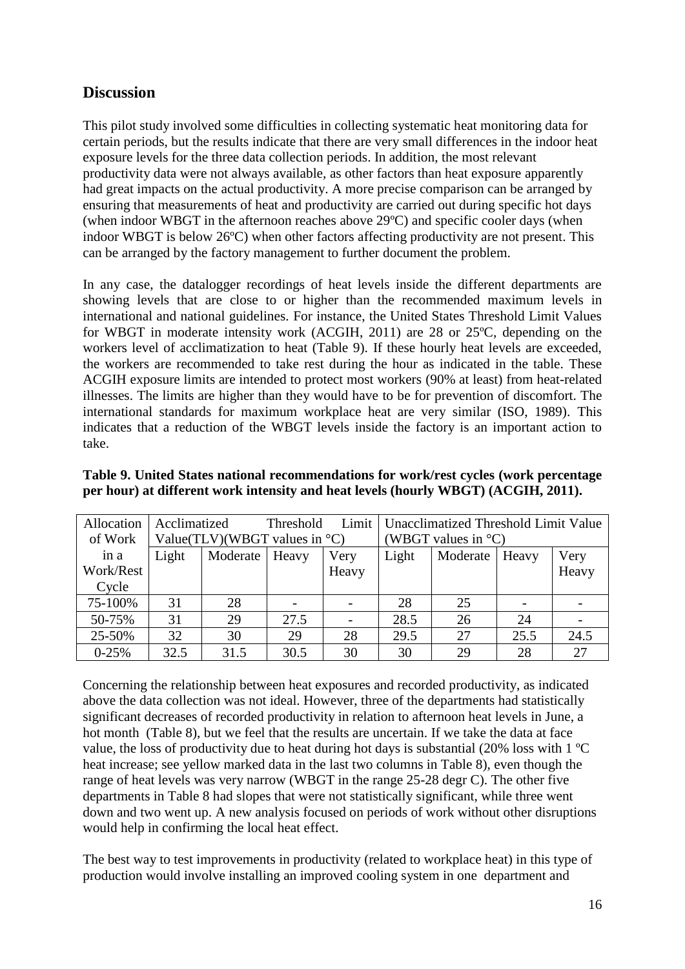# **Discussion**

This pilot study involved some difficulties in collecting systematic heat monitoring data for certain periods, but the results indicate that there are very small differences in the indoor heat exposure levels for the three data collection periods. In addition, the most relevant productivity data were not always available, as other factors than heat exposure apparently had great impacts on the actual productivity. A more precise comparison can be arranged by ensuring that measurements of heat and productivity are carried out during specific hot days (when indoor WBGT in the afternoon reaches above 29ºC) and specific cooler days (when indoor WBGT is below 26ºC) when other factors affecting productivity are not present. This can be arranged by the factory management to further document the problem.

In any case, the datalogger recordings of heat levels inside the different departments are showing levels that are close to or higher than the recommended maximum levels in international and national guidelines. For instance, the United States Threshold Limit Values for WBGT in moderate intensity work (ACGIH, 2011) are 28 or 25ºC, depending on the workers level of acclimatization to heat (Table 9). If these hourly heat levels are exceeded, the workers are recommended to take rest during the hour as indicated in the table. These ACGIH exposure limits are intended to protect most workers (90% at least) from heat-related illnesses. The limits are higher than they would have to be for prevention of discomfort. The international standards for maximum workplace heat are very similar (ISO, 1989). This indicates that a reduction of the WBGT levels inside the factory is an important action to take.

| Allocation | Acclimatized |                                  | Limit<br>Threshold |       | Unacclimatized Threshold Limit Value |          |       |       |
|------------|--------------|----------------------------------|--------------------|-------|--------------------------------------|----------|-------|-------|
| of Work    |              | Value(TLV)(WBGT values in $°C$ ) |                    |       | (WBGT values in $^{\circ}$ C)        |          |       |       |
| in a       | Light        | Moderate                         | Heavy              | Very  | Light                                | Moderate | Heavy | Very  |
| Work/Rest  |              |                                  |                    | Heavy |                                      |          |       | Heavy |
| Cycle      |              |                                  |                    |       |                                      |          |       |       |
| 75-100%    | 31           | 28                               |                    |       | 28                                   | 25       |       |       |
| 50-75%     | 31           | 29                               | 27.5               |       | 28.5                                 | 26       | 24    |       |
| 25-50%     | 32           | 30                               | 29                 | 28    | 29.5                                 | 27       | 25.5  | 24.5  |
| $0-25%$    | 32.5         | 31.5                             | 30.5               | 30    | 30                                   | 29       | 28    | 27    |

#### **Table 9. United States national recommendations for work/rest cycles (work percentage per hour) at different work intensity and heat levels (hourly WBGT) (ACGIH, 2011).**

Concerning the relationship between heat exposures and recorded productivity, as indicated above the data collection was not ideal. However, three of the departments had statistically significant decreases of recorded productivity in relation to afternoon heat levels in June, a hot month (Table 8), but we feel that the results are uncertain. If we take the data at face value, the loss of productivity due to heat during hot days is substantial (20% loss with 1 ºC heat increase; see yellow marked data in the last two columns in Table 8), even though the range of heat levels was very narrow (WBGT in the range 25-28 degr C). The other five departments in Table 8 had slopes that were not statistically significant, while three went down and two went up. A new analysis focused on periods of work without other disruptions would help in confirming the local heat effect.

The best way to test improvements in productivity (related to workplace heat) in this type of production would involve installing an improved cooling system in one department and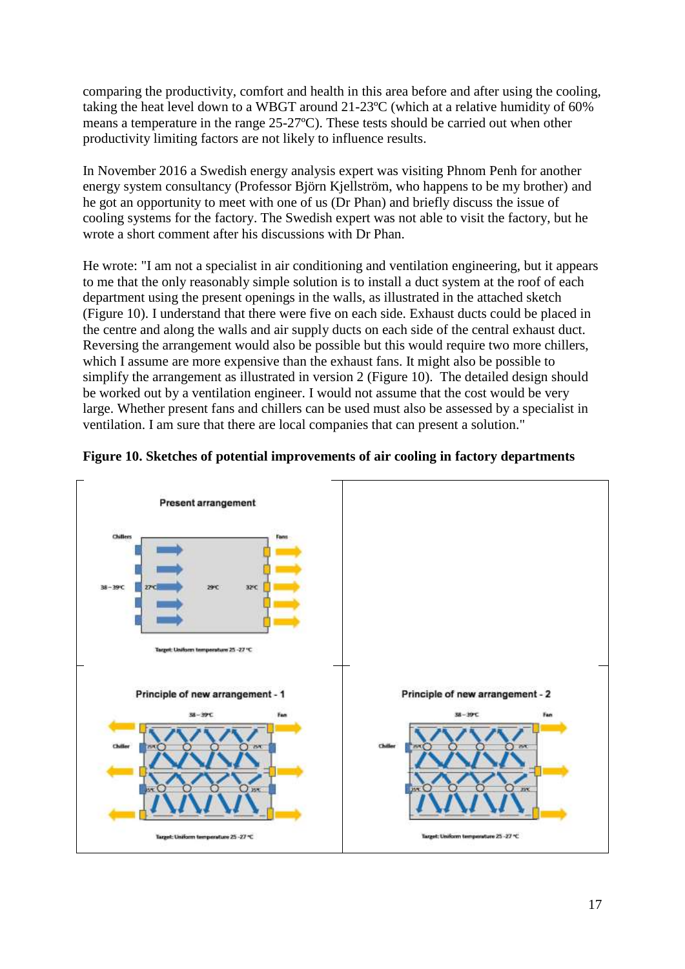comparing the productivity, comfort and health in this area before and after using the cooling, taking the heat level down to a WBGT around 21-23ºC (which at a relative humidity of 60% means a temperature in the range 25-27ºC). These tests should be carried out when other productivity limiting factors are not likely to influence results.

In November 2016 a Swedish energy analysis expert was visiting Phnom Penh for another energy system consultancy (Professor Björn Kjellström, who happens to be my brother) and he got an opportunity to meet with one of us (Dr Phan) and briefly discuss the issue of cooling systems for the factory. The Swedish expert was not able to visit the factory, but he wrote a short comment after his discussions with Dr Phan.

He wrote: "I am not a specialist in air conditioning and ventilation engineering, but it appears to me that the only reasonably simple solution is to install a duct system at the roof of each department using the present openings in the walls, as illustrated in the attached sketch (Figure 10). I understand that there were five on each side. Exhaust ducts could be placed in the centre and along the walls and air supply ducts on each side of the central exhaust duct. Reversing the arrangement would also be possible but this would require two more chillers, which I assume are more expensive than the exhaust fans. It might also be possible to simplify the arrangement as illustrated in version 2 (Figure 10). The detailed design should be worked out by a ventilation engineer. I would not assume that the cost would be very large. Whether present fans and chillers can be used must also be assessed by a specialist in ventilation. I am sure that there are local companies that can present a solution."



#### **Figure 10. Sketches of potential improvements of air cooling in factory departments**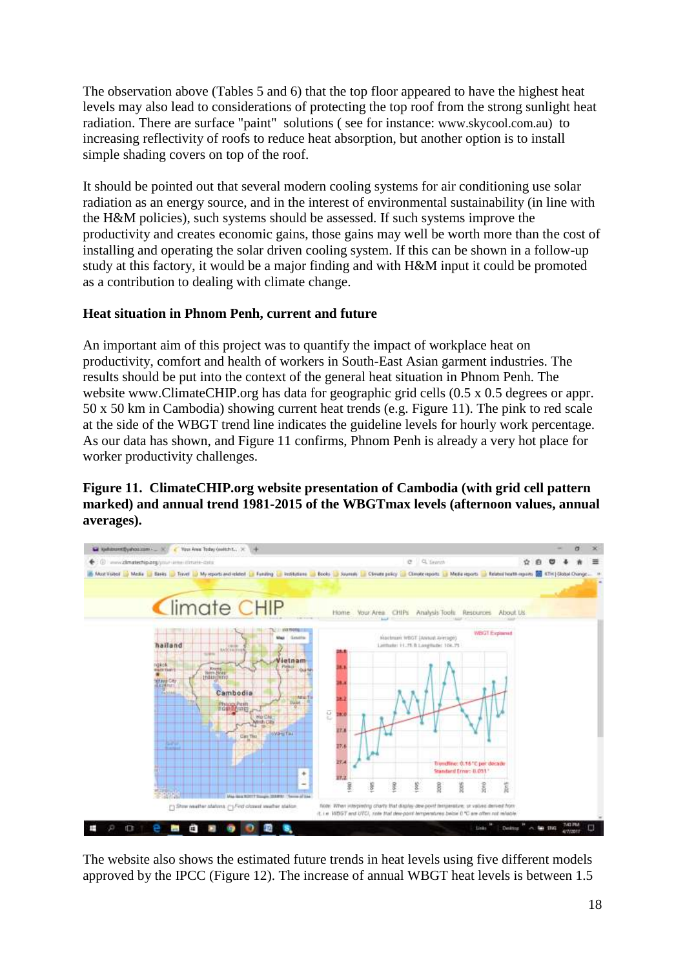The observation above (Tables 5 and 6) that the top floor appeared to have the highest heat levels may also lead to considerations of protecting the top roof from the strong sunlight heat radiation. There are surface "paint" solutions ( see for instance: www.skycool.com.au) to increasing reflectivity of roofs to reduce heat absorption, but another option is to install simple shading covers on top of the roof.

It should be pointed out that several modern cooling systems for air conditioning use solar radiation as an energy source, and in the interest of environmental sustainability (in line with the H&M policies), such systems should be assessed. If such systems improve the productivity and creates economic gains, those gains may well be worth more than the cost of installing and operating the solar driven cooling system. If this can be shown in a follow-up study at this factory, it would be a major finding and with H&M input it could be promoted as a contribution to dealing with climate change.

## **Heat situation in Phnom Penh, current and future**

An important aim of this project was to quantify the impact of workplace heat on productivity, comfort and health of workers in South-East Asian garment industries. The results should be put into the context of the general heat situation in Phnom Penh. The website www.ClimateCHIP.org has data for geographic grid cells  $(0.5 \times 0.5$  degrees or appr. 50 x 50 km in Cambodia) showing current heat trends (e.g. Figure 11). The pink to red scale at the side of the WBGT trend line indicates the guideline levels for hourly work percentage. As our data has shown, and Figure 11 confirms, Phnom Penh is already a very hot place for worker productivity challenges.

## **Figure 11. ClimateCHIP.org website presentation of Cambodia (with grid cell pattern marked) and annual trend 1981-2015 of the WBGTmax levels (afternoon values, annual averages).**



The website also shows the estimated future trends in heat levels using five different models approved by the IPCC (Figure 12). The increase of annual WBGT heat levels is between 1.5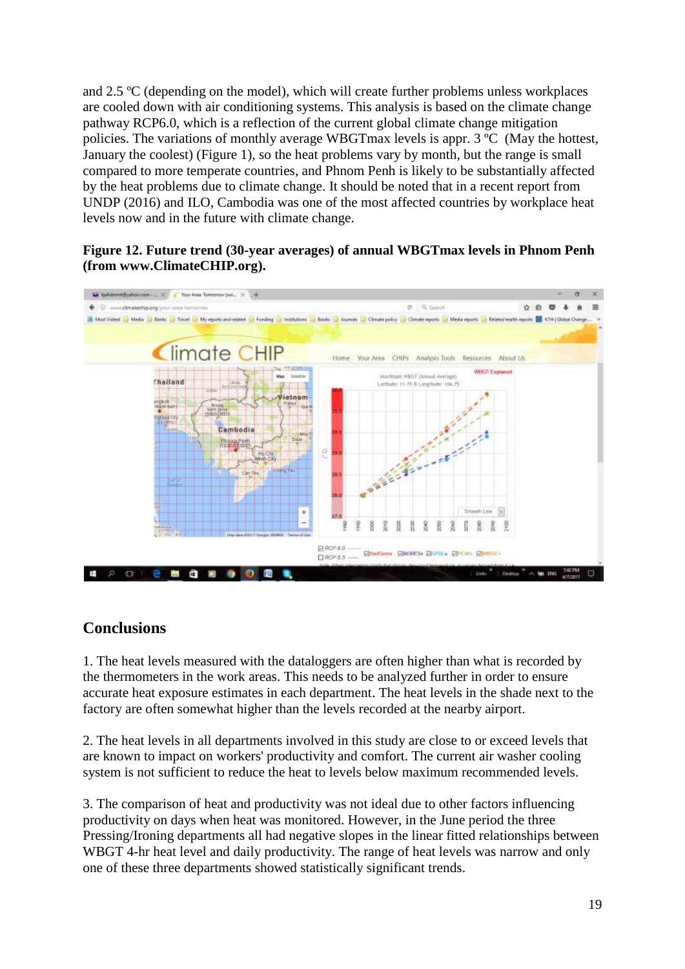and 2.5 ºC (depending on the model), which will create further problems unless workplaces are cooled down with air conditioning systems. This analysis is based on the climate change pathway RCP6.0, which is a reflection of the current global climate change mitigation policies. The variations of monthly average WBGTmax levels is appr. 3 ºC (May the hottest, January the coolest) (Figure 1), so the heat problems vary by month, but the range is small compared to more temperate countries, and Phnom Penh is likely to be substantially affected by the heat problems due to climate change. It should be noted that in a recent report from UNDP (2016) and ILO, Cambodia was one of the most affected countries by workplace heat levels now and in the future with climate change.

## **Figure 12. Future trend (30-year averages) of annual WBGTmax levels in Phnom Penh (from www.ClimateCHIP.org).**



# **Conclusions**

1. The heat levels measured with the dataloggers are often higher than what is recorded by the thermometers in the work areas. This needs to be analyzed further in order to ensure accurate heat exposure estimates in each department. The heat levels in the shade next to the factory are often somewhat higher than the levels recorded at the nearby airport.

2. The heat levels in all departments involved in this study are close to or exceed levels that are known to impact on workers' productivity and comfort. The current air washer cooling system is not sufficient to reduce the heat to levels below maximum recommended levels.

3. The comparison of heat and productivity was not ideal due to other factors influencing productivity on days when heat was monitored. However, in the June period the three Pressing/Ironing departments all had negative slopes in the linear fitted relationships between WBGT 4-hr heat level and daily productivity. The range of heat levels was narrow and only one of these three departments showed statistically significant trends.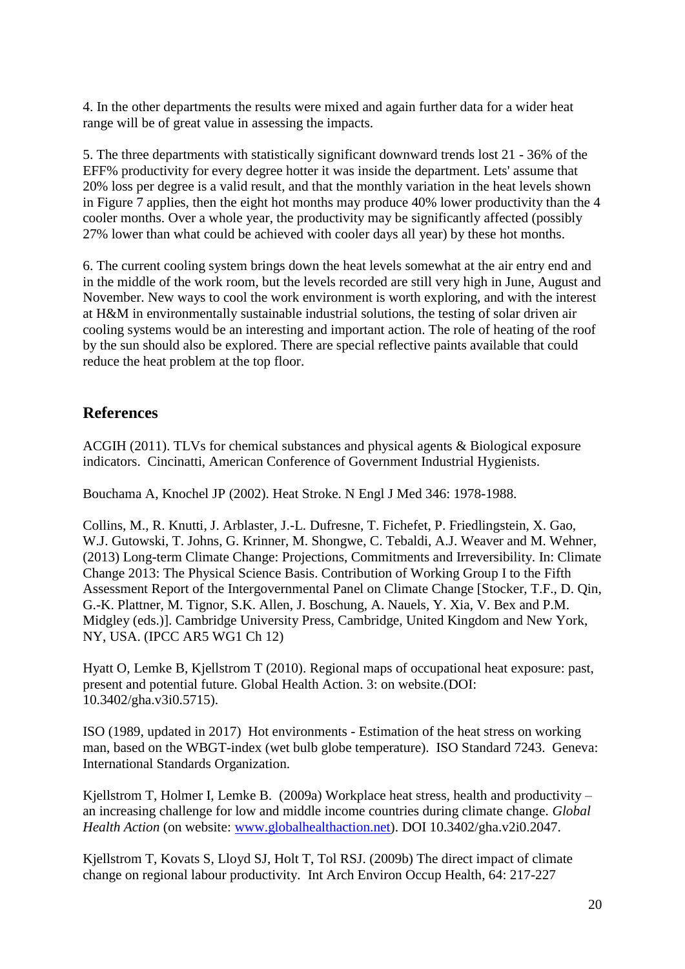4. In the other departments the results were mixed and again further data for a wider heat range will be of great value in assessing the impacts.

5. The three departments with statistically significant downward trends lost 21 - 36% of the EFF% productivity for every degree hotter it was inside the department. Lets' assume that 20% loss per degree is a valid result, and that the monthly variation in the heat levels shown in Figure 7 applies, then the eight hot months may produce 40% lower productivity than the 4 cooler months. Over a whole year, the productivity may be significantly affected (possibly 27% lower than what could be achieved with cooler days all year) by these hot months.

6. The current cooling system brings down the heat levels somewhat at the air entry end and in the middle of the work room, but the levels recorded are still very high in June, August and November. New ways to cool the work environment is worth exploring, and with the interest at H&M in environmentally sustainable industrial solutions, the testing of solar driven air cooling systems would be an interesting and important action. The role of heating of the roof by the sun should also be explored. There are special reflective paints available that could reduce the heat problem at the top floor.

# **References**

ACGIH (2011). TLVs for chemical substances and physical agents & Biological exposure indicators. Cincinatti, American Conference of Government Industrial Hygienists.

Bouchama A, Knochel JP (2002). Heat Stroke. N Engl J Med 346: 1978-1988.

Collins, M., R. Knutti, J. Arblaster, J.-L. Dufresne, T. Fichefet, P. Friedlingstein, X. Gao, W.J. Gutowski, T. Johns, G. Krinner, M. Shongwe, C. Tebaldi, A.J. Weaver and M. Wehner, (2013) Long-term Climate Change: Projections, Commitments and Irreversibility. In: Climate Change 2013: The Physical Science Basis. Contribution of Working Group I to the Fifth Assessment Report of the Intergovernmental Panel on Climate Change [Stocker, T.F., D. Qin, G.-K. Plattner, M. Tignor, S.K. Allen, J. Boschung, A. Nauels, Y. Xia, V. Bex and P.M. Midgley (eds.)]. Cambridge University Press, Cambridge, United Kingdom and New York, NY, USA. (IPCC AR5 WG1 Ch 12)

Hyatt O, Lemke B, Kjellstrom T (2010). Regional maps of occupational heat exposure: past, present and potential future. Global Health Action. 3: on website.(DOI: 10.3402/gha.v3i0.5715).

ISO (1989, updated in 2017) Hot environments - Estimation of the heat stress on working man, based on the WBGT-index (wet bulb globe temperature). ISO Standard 7243. Geneva: International Standards Organization.

Kjellstrom T, Holmer I, Lemke B. (2009a) Workplace heat stress, health and productivity – an increasing challenge for low and middle income countries during climate change. *Global Health Action* (on website: [www.globalhealthaction.net\)](http://www.globalheath/). DOI 10.3402/gha.v2i0.2047.

Kjellstrom T, Kovats S, Lloyd SJ, Holt T, Tol RSJ. (2009b) The direct impact of climate change on regional labour productivity. Int Arch Environ Occup Health, 64: 217-227